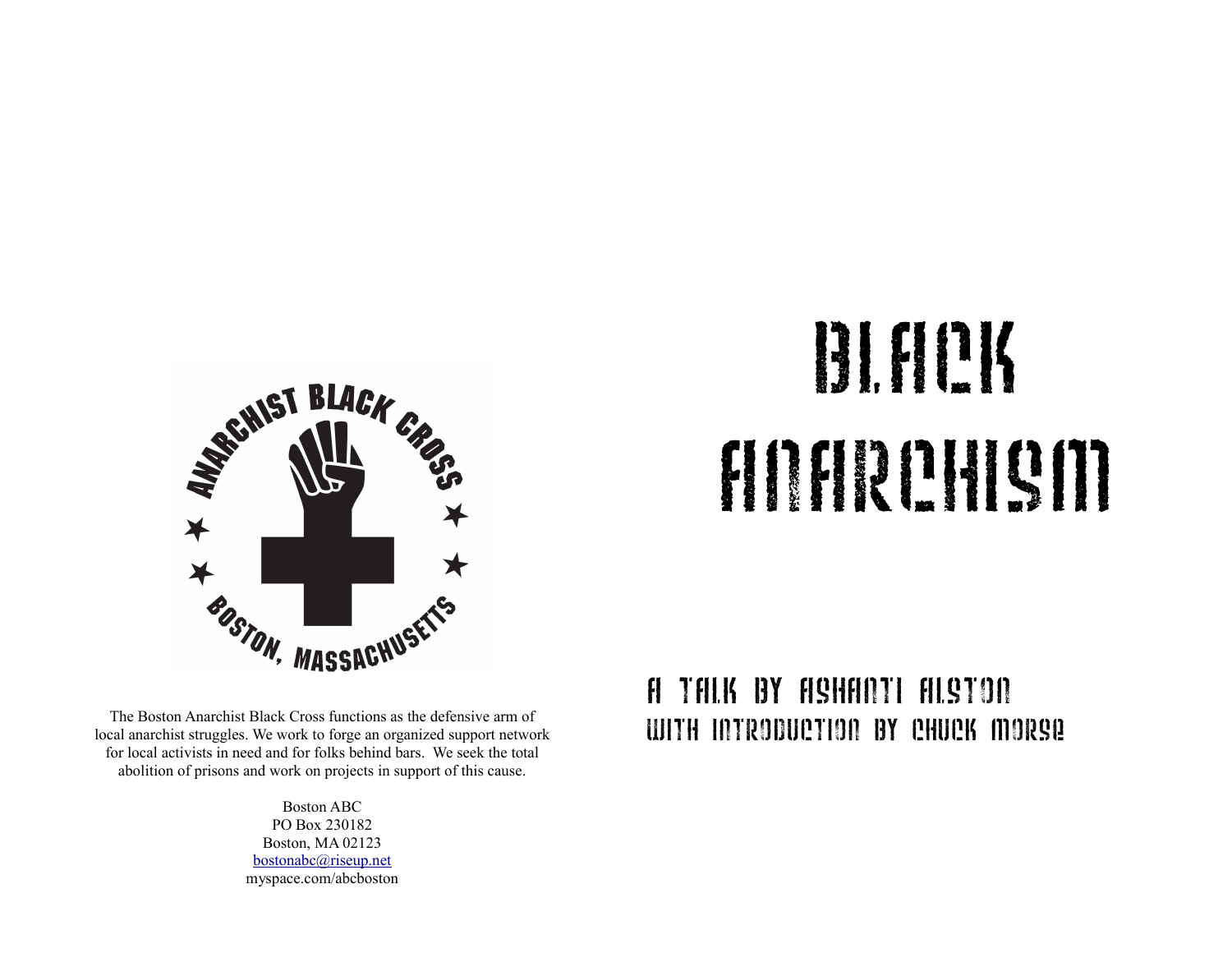

## BLACK ANARCHISM

The Boston Anarchist Black Cross functions as the defensive arm of local anarchist struggles. We work to forge an organized support network for local activists in need and for folks behind bars. We seek the total abolition of prisons and work on projects in support of this cause.

> Boston ABC PO Box 230182 Boston, MA 02123 [bostonabc@riseup.net](mailto:bostonabc@riseup.net) myspace.com/abcboston

## A TALK BY ASHANTI ALSTON WITH INTRODUCTION BY CHUCK MORSE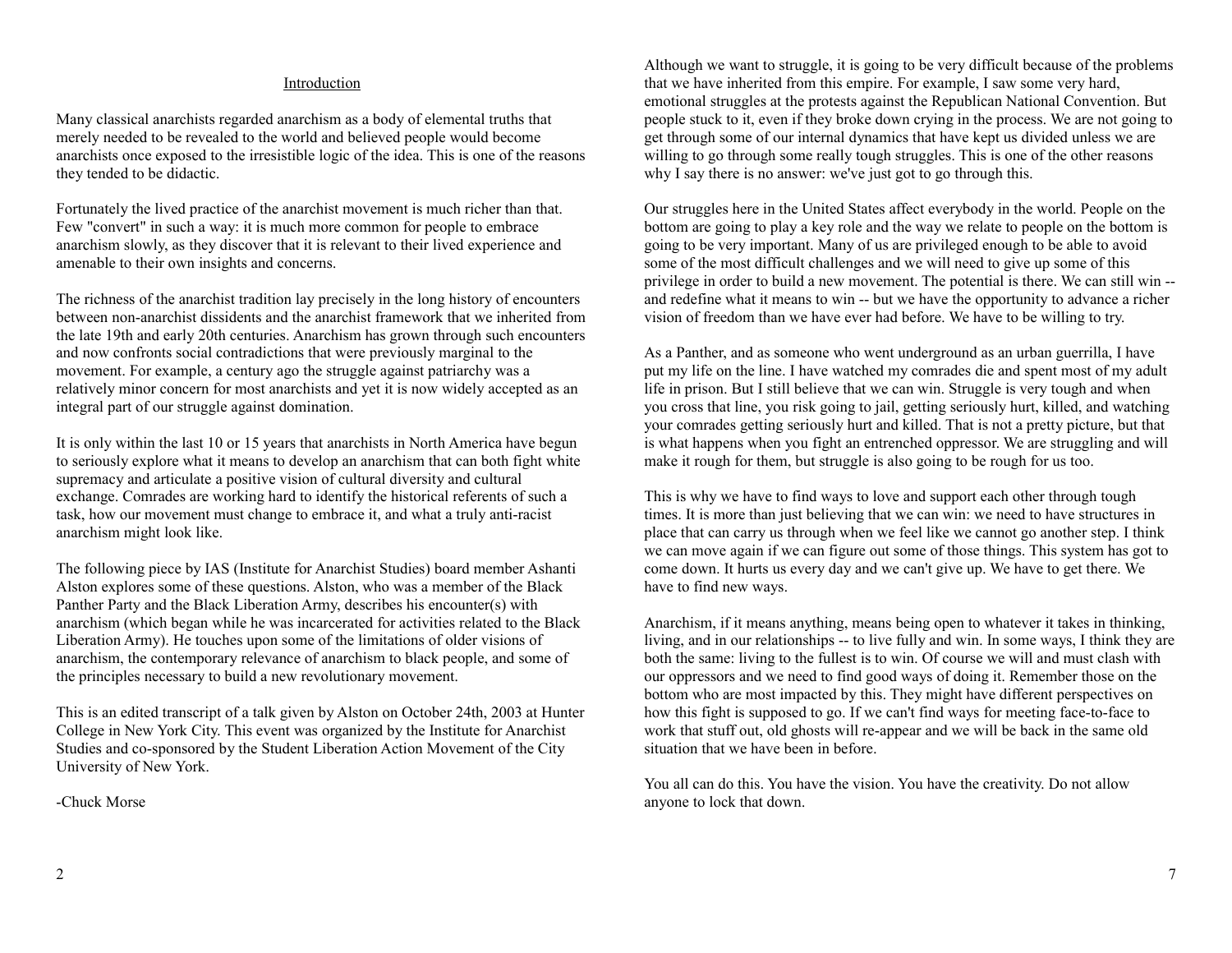## Introduction

Many classical anarchists regarded anarchism as a body of elemental truths that merely needed to be revealed to the world and believed people would become anarchists once exposed to the irresistible logic of the idea. This is one of the reasons they tended to be didactic.

Fortunately the lived practice of the anarchist movement is much richer than that. Few "convert" in such a way: it is much more common for people to embrace anarchism slowly, as they discover that it is relevant to their lived experience and amenable to their own insights and concerns.

The richness of the anarchist tradition lay precisely in the long history of encounters between non-anarchist dissidents and the anarchist framework that we inherited from the late 19th and early 20th centuries. Anarchism has grown through such encounters and now confronts social contradictions that were previously marginal to the movement. For example, a century ago the struggle against patriarchy was a relatively minor concern for most anarchists and yet it is now widely accepted as an integral part of our struggle against domination.

It is only within the last 10 or 15 years that anarchists in North America have begun to seriously explore what it means to develop an anarchism that can both fight white supremacy and articulate a positive vision of cultural diversity and cultural exchange. Comrades are working hard to identify the historical referents of such a task, how our movement must change to embrace it, and what a truly anti-racist anarchism might look like.

The following piece by IAS (Institute for Anarchist Studies) board member Ashanti Alston explores some of these questions. Alston, who was a member of the Black Panther Party and the Black Liberation Army, describes his encounter(s) with anarchism (which began while he was incarcerated for activities related to the Black Liberation Army). He touches upon some of the limitations of older visions of anarchism, the contemporary relevance of anarchism to black people, and some of the principles necessary to build a new revolutionary movement.

This is an edited transcript of a talk given by Alston on October 24th, 2003 at Hunter College in New York City. This event was organized by the Institute for Anarchist Studies and co-sponsored by the Student Liberation Action Movement of the City University of New York.

-Chuck Morse

Although we want to struggle, it is going to be very difficult because of the problems that we have inherited from this empire. For example, I saw some very hard, emotional struggles at the protests against the Republican National Convention. But people stuck to it, even if they broke down crying in the process. We are not going to get through some of our internal dynamics that have kept us divided unless we are willing to go through some really tough struggles. This is one of the other reasons why I say there is no answer: we've just got to go through this.

Our struggles here in the United States affect everybody in the world. People on the bottom are going to play a key role and the way we relate to people on the bottom is going to be very important. Many of us are privileged enough to be able to avoid some of the most difficult challenges and we will need to give up some of this privilege in order to build a new movement. The potential is there. We can still win - and redefine what it means to win -- but we have the opportunity to advance a richer vision of freedom than we have ever had before. We have to be willing to try.

As a Panther, and as someone who went underground as an urban guerrilla, I have put my life on the line. I have watched my comrades die and spent most of my adult life in prison. But I still believe that we can win. Struggle is very tough and when you cross that line, you risk going to jail, getting seriously hurt, killed, and watching your comrades getting seriously hurt and killed. That is not a pretty picture, but that is what happens when you fight an entrenched oppressor. We are struggling and will make it rough for them, but struggle is also going to be rough for us too.

This is why we have to find ways to love and support each other through tough times. It is more than just believing that we can win: we need to have structures in place that can carry us through when we feel like we cannot go another step. I think we can move again if we can figure out some of those things. This system has got to come down. It hurts us every day and we can't give up. We have to get there. We have to find new ways.

Anarchism, if it means anything, means being open to whatever it takes in thinking, living, and in our relationships -- to live fully and win. In some ways, I think they are both the same: living to the fullest is to win. Of course we will and must clash with our oppressors and we need to find good ways of doing it. Remember those on the bottom who are most impacted by this. They might have different perspectives on how this fight is supposed to go. If we can't find ways for meeting face-to-face to work that stuff out, old ghosts will re-appear and we will be back in the same old situation that we have been in before.

You all can do this. You have the vision. You have the creativity. Do not allow anyone to lock that down.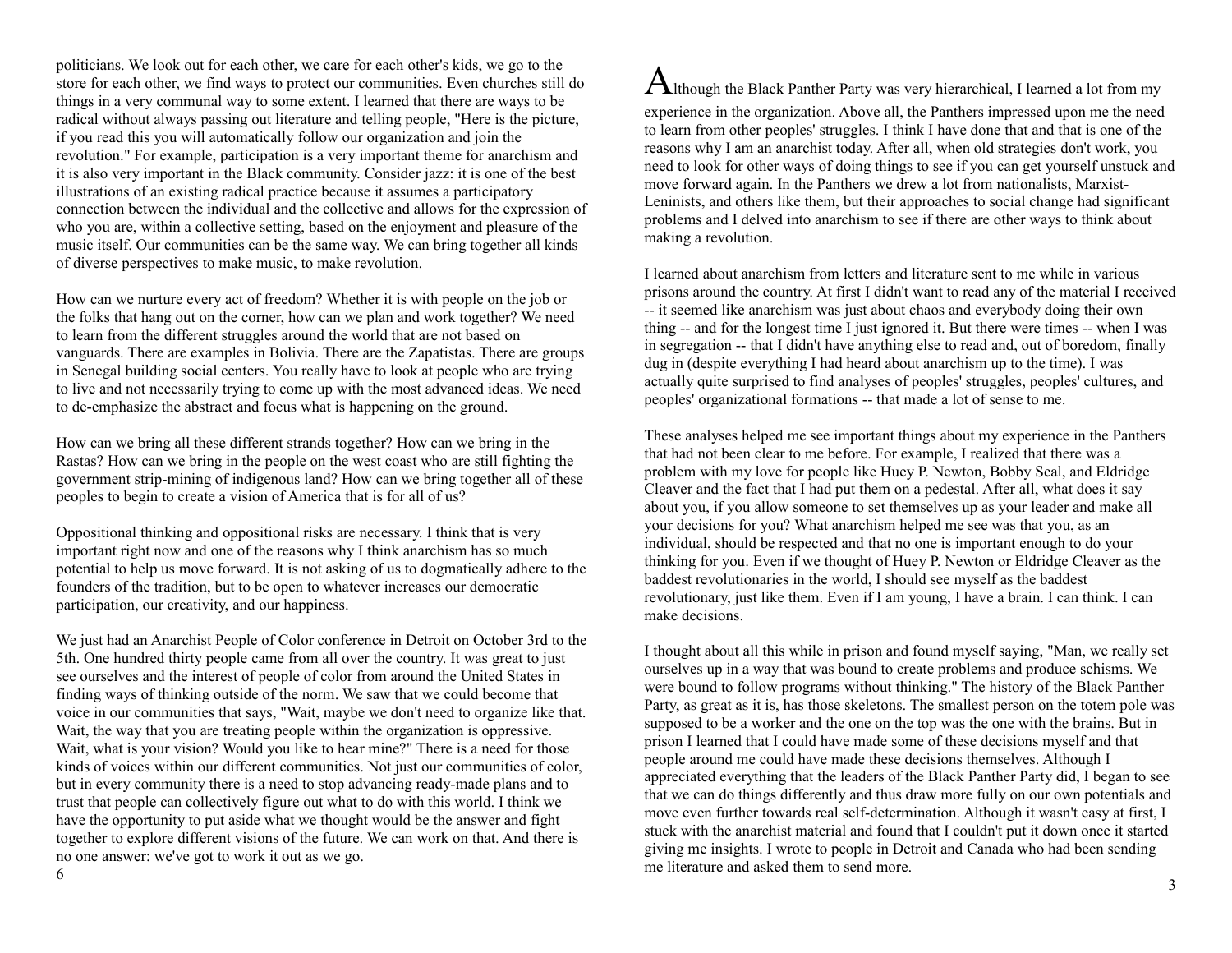politicians. We look out for each other, we care for each other's kids, we go to the store for each other, we find ways to protect our communities. Even churches still do things in a very communal way to some extent. I learned that there are ways to be radical without always passing out literature and telling people, "Here is the picture, if you read this you will automatically follow our organization and join the revolution." For example, participation is a very important theme for anarchism and it is also very important in the Black community. Consider jazz: it is one of the best illustrations of an existing radical practice because it assumes a participatory connection between the individual and the collective and allows for the expression of who you are, within a collective setting, based on the enjoyment and pleasure of the music itself. Our communities can be the same way. We can bring together all kinds of diverse perspectives to make music, to make revolution.

How can we nurture every act of freedom? Whether it is with people on the job or the folks that hang out on the corner, how can we plan and work together? We need to learn from the different struggles around the world that are not based on vanguards. There are examples in Bolivia. There are the Zapatistas. There are groups in Senegal building social centers. You really have to look at people who are trying to live and not necessarily trying to come up with the most advanced ideas. We need to de-emphasize the abstract and focus what is happening on the ground.

How can we bring all these different strands together? How can we bring in the Rastas? How can we bring in the people on the west coast who are still fighting the government strip-mining of indigenous land? How can we bring together all of these peoples to begin to create a vision of America that is for all of us?

Oppositional thinking and oppositional risks are necessary. I think that is very important right now and one of the reasons why I think anarchism has so much potential to help us move forward. It is not asking of us to dogmatically adhere to the founders of the tradition, but to be open to whatever increases our democratic participation, our creativity, and our happiness.

We just had an Anarchist People of Color conference in Detroit on October 3rd to the 5th. One hundred thirty people came from all over the country. It was great to just see ourselves and the interest of people of color from around the United States in finding ways of thinking outside of the norm. We saw that we could become that voice in our communities that says, "Wait, maybe we don't need to organize like that. Wait, the way that you are treating people within the organization is oppressive. Wait, what is your vision? Would you like to hear mine?" There is a need for those kinds of voices within our different communities. Not just our communities of color, but in every community there is a need to stop advancing ready-made plans and to trust that people can collectively figure out what to do with this world. I think we have the opportunity to put aside what we thought would be the answer and fight together to explore different visions of the future. We can work on that. And there is no one answer: we've got to work it out as we go.

**Although the Black Panther Party was very hierarchical, I learned a lot from my** experience in the organization. Above all, the Panthers impressed upon me the need to learn from other peoples' struggles. I think I have done that and that is one of the reasons why I am an anarchist today. After all, when old strategies don't work, you need to look for other ways of doing things to see if you can get yourself unstuck and move forward again. In the Panthers we drew a lot from nationalists, Marxist-Leninists, and others like them, but their approaches to social change had significant problems and I delved into anarchism to see if there are other ways to think about making a revolution.

I learned about anarchism from letters and literature sent to me while in various prisons around the country. At first I didn't want to read any of the material I received -- it seemed like anarchism was just about chaos and everybody doing their own thing -- and for the longest time I just ignored it. But there were times -- when I was in segregation -- that I didn't have anything else to read and, out of boredom, finally dug in (despite everything I had heard about anarchism up to the time). I was actually quite surprised to find analyses of peoples' struggles, peoples' cultures, and peoples' organizational formations -- that made a lot of sense to me.

These analyses helped me see important things about my experience in the Panthers that had not been clear to me before. For example, I realized that there was a problem with my love for people like Huey P. Newton, Bobby Seal, and Eldridge Cleaver and the fact that I had put them on a pedestal. After all, what does it say about you, if you allow someone to set themselves up as your leader and make all your decisions for you? What anarchism helped me see was that you, as an individual, should be respected and that no one is important enough to do your thinking for you. Even if we thought of Huey P. Newton or Eldridge Cleaver as the baddest revolutionaries in the world, I should see myself as the baddest revolutionary, just like them. Even if I am young, I have a brain. I can think. I can make decisions.

I thought about all this while in prison and found myself saying, "Man, we really set ourselves up in a way that was bound to create problems and produce schisms. We were bound to follow programs without thinking." The history of the Black Panther Party, as great as it is, has those skeletons. The smallest person on the totem pole was supposed to be a worker and the one on the top was the one with the brains. But in prison I learned that I could have made some of these decisions myself and that people around me could have made these decisions themselves. Although I appreciated everything that the leaders of the Black Panther Party did, I began to see that we can do things differently and thus draw more fully on our own potentials and move even further towards real self-determination. Although it wasn't easy at first, I stuck with the anarchist material and found that I couldn't put it down once it started giving me insights. I wrote to people in Detroit and Canada who had been sending me literature and asked them to send more.